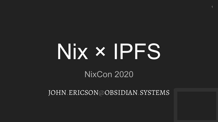# Nix × IPFS

#### NixCon 2020

JOHN ERICSON@OBSIDIAN SYSTEMS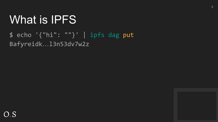\$ echo '{"hi": ""}' | ipfs dag put Bafyreidk...l3n53dv7w2z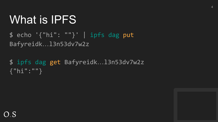$$echo '{''hi': "'}'}'$  | ipfs dag put Bafyreidk...l3n53dv7w2z

\$ ipfs dag get Bafyreidk...13n53dv7w2z  ${''hi": "''}$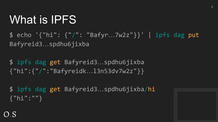\$ echo '{"hi": {"/": "Bafyr…7w2z"}}' | ipfs dag put Bafyreid3…spdhu6jixba

\$ ipfs dag get Bafyreid3…spdhu6jixba {"hi":{"/":"Bafyreidk…l3n53dv7w2z"}}

\$ ipfs dag get Bafyreid3…spdhu6jixba/hi {"hi":""}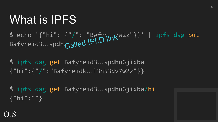\$ echo '{"hi": {"/": "Bafyrink<sup>'w2z"</sup>}}' | ipfs dag put » ecno { n1 : { / : Bath ink<br>Bafyreid3...spdh<sub>Call</sub>ed IPLD link

\$ ipfs dag get Bafyreid3…spdhu6jixba {"hi":{"/":"Bafyreidk…l3n53dv7w2z"}}

\$ ipfs dag get Bafyreid3…spdhu6jixba/hi {"hi":""}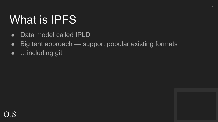- Data model called IPLD
- Big tent approach support popular existing formats

7

● …including git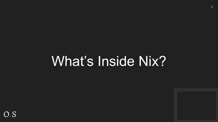# What's Inside Nix?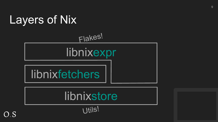#### **Layers of Nix**



#### libnixstore

 $O.S$ 

l Jtils!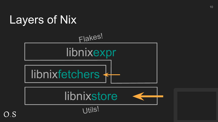

 $O.S$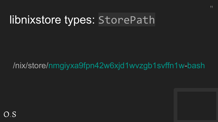#### /nix/store/nmgiyxa9fpn42w6xjd1wvzgb1svffn1w-bash

 $11$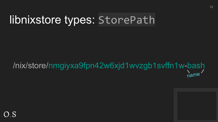# /nix/store/nmgiyxa9fpn42w6xjd1wvzgb1svffn1w-bash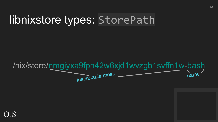#### /nix/store/nmgiyxa9fpn42w6xjd1wvzgb1svffn1w-bash Inscrutable mess name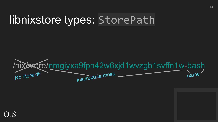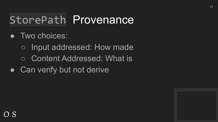#### StorePath Provenance

- Two choices:
	- Input addressed: How made
	- Content Addressed: What is
- Can verify but not derive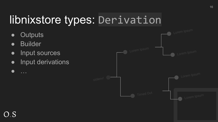- Outputs
- Builder

● …

- Input sources
- Input derivations

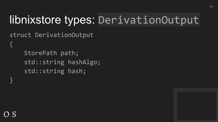struct DerivationOutput

 StorePath path; std::string hashAlgo; std::string hash;

}

{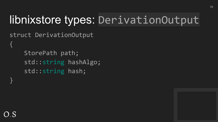struct DerivationOutput

 StorePath path; std::string hashAlgo; std::string hash;

}

{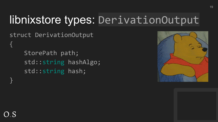struct DerivationOutput

 StorePath path; std::string hashAlgo; std::string hash;



{

}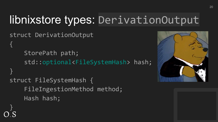struct DerivationOutput

O.S

}

{

```
 StorePath path;
     std::optional<FileSystemHash> hash;
}
struct FileSystemHash {
     FileIngestionMethod method;
     Hash hash;
```
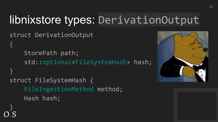struct DerivationOutput

O.S

}

{

```
 StorePath path;
     std::optional<FileSystemHash> hash;
}
struct FileSystemHash {
     FileIngestionMethod method;
     Hash hash;
```
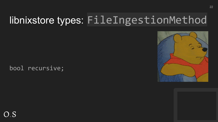#### libnixstore types: FileIngestionMethod

bool recursive;





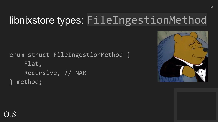#### libnixstore types: FileIngestionMethod

enum struct FileIngestionMethod { Flat, Recursive, // NAR method;



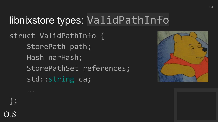#### libnixstore types: ValidPathInfo

struct ValidPathInfo { StorePath path; Hash narHash; StorePathSet references; std::string ca;

 $O.S$ 



24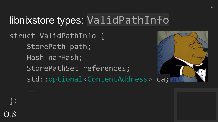#### libnixstore types: ValidPathInfo

struct ValidPathInfo { StorePath path; Hash narHash; StorePathSet references; std::optional<ContentAddress> ca;



O.S };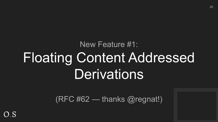### New Feature #1: Floating Content Addressed **Derivations**

(RFC #62 — thanks @regnat!)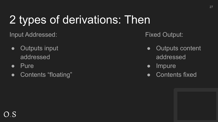### 2 types of derivations: Then

Input Addressed:

- Outputs input addressed
- Pure
- Contents "floating"

Fixed Output:

- Outputs content addressed
- Impure
- Contents fixed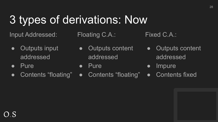### 3 types of derivations: Now

Input Addressed:

Floating C.A.:

Fixed C.A.:

- Outputs input addressed
- Pure
- Contents "floating"
- Outputs content addressed

● Pure

- Contents "floating"
- Outputs content addressed
- Impure
- Contents fixed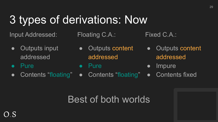#### 3 types of derivations: Now

Input Addressed:

Floating C.A.:

Fixed C.A.:

- Outputs input addressed
- **Pure**
- Contents "floating"
- Outputs content addressed

● Pure

- Contents "floating"
- Outputs content addressed
- Impure
- Contents fixed

#### Best of both worlds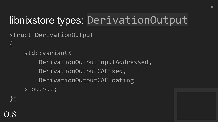struct DerivationOutput

std::variant<

 DerivationOutputInputAddressed, DerivationOutputCAFixed, DerivationOutputCAFloating output;

};

{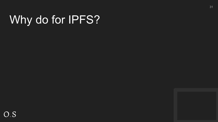#### Why do for IPFS?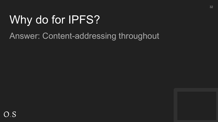#### Why do for IPFS?

Answer: Content-addressing throughout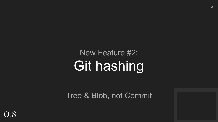#### New Feature #2: Git hashing

Tree & Blob, not Commit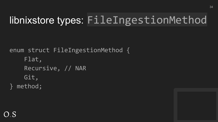#### libnixstore types: FileIngestionMethod

```
enum struct FileIngestionMethod {
    Flat,
    Recursive, // NAR
    Git,
 method;
```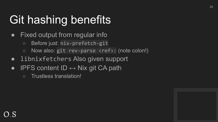### Git hashing benefits

- Fixed output from regular info
	- Before just: nix-prefetch-git
	- Now also: git rev-parse <ref>: (note colon!)
- libnixfetchers Also given support
- IPFS content ID  $\leftrightarrow$  Nix git CA path
	- Trustless translation!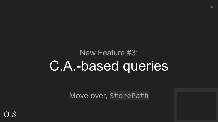#### New Feature #3: C.A.-based queries

Move over, StorePath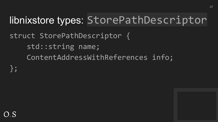#### libnixstore types: StorePathDescriptor

struct StorePathDescriptor { std::string name; ContentAddressWithReferences info;

};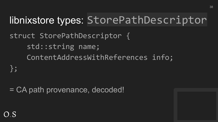#### libnixstore types: StorePathDescriptor

struct StorePathDescriptor { std::string name; ContentAddressWithReferences info; };

#### = CA path provenance, decoded!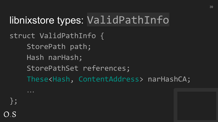#### libnixstore types: ValidPathInfo

O.S

};

struct ValidPathInfo { StorePath path; Hash narHash; StorePathSet references; These<Hash, ContentAddress> narHashCA;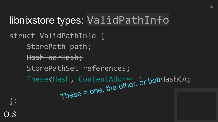#### libnixstore types: ValidPathInfo

struct ValidPathInfo { StorePath path; Hash narHash; StorePathSet references; These<Hash, ContentAddression both ashCA; }; ish, ContentAddress or both<br>These = one, the other, or both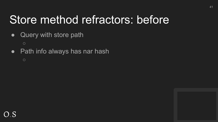#### Store method refractors: before

• Query with store path

 $\circ$ 

• Path info always has nar hash

 $\circ$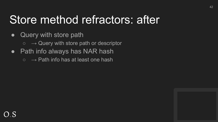#### Store method refractors: after

- Query with store path
	- $\circ \rightarrow$  Query with store path or descriptor
- Path info always has NAR hash
	- $\circ \rightarrow$  Path info has at least one hash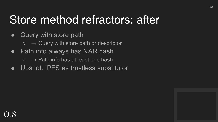#### Store method refractors: after

- Query with store path
	- $\circ \rightarrow$  Query with store path or descriptor
- Path info always has NAR hash
	- $\circ \rightarrow$  Path info has at least one hash
- Upshot: IPFS as trustless substitutor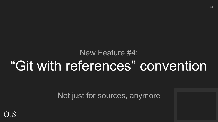#### New Feature #4: "Git with references" convention

Not just for sources, anymore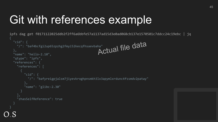#### Git with references example

```
O.S
  ipfs dag get f0171122025ddb2f2ff6a6bbfe57a1137ad15d3e0ad068cb137e1570501c7ddcc24c19ebc | jq
     "cid": {
       "/": "baf4bcfgi2up65zpzhg2fmyi52kecqfhsaevbaha"
     },
     "name": "hello-2.10",
     "qtype": "ipfs",
     "references": {
       "references": [
           "cid": {
             "/": "bafyreigpjalsm7jiyevkroghpnsmkh3lx3apymlxrdunc4fssmdv2patwy"
           },
           "name": "glibc-2.30"
    ],
        "zhasSelfReference": true
   }
                                                 Actual file data
```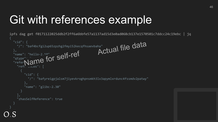#### Git with references example

```
O.S
   ipfs dag get f0171122025ddb2f2ff6a6bbfe57a1137ad15d3e0ad068cb137e1570501c7ddcc24c19ebc | jq
      "cid": {
        "/": "baf4bcfgi2up65zpzhg2fmyi52kecqfhsaevbaha"
     },
      "name": "hello-2.10",
   "qtype": " \rightarrow \bulletThe Time of the 110-2.10" Self-ref
       "reft. circes": [
            "cid": {
              "/": "bafyreigpjalsm7jiyevkroghpnsmkh3lx3apymlxrdunc4fssmdv2patwy"
            },
            "name": "glibc-2.30"
    ],
        "zhasSelfReference": true
   }
                                                  Actual file data
```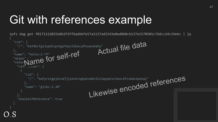#### Git with references example

```
O.S
  ipfs dag get f0171122025ddb2f2ff6a6bbfe57a1137ad15d3e0ad068cb137e1570501c7ddcc24c19ebc | jq
     "cid": {
       "/": "baf4bcfgi2up65zpzhg2fmyi52kecqfhsaevbaha"
     },
    "name": "hello-2.10"
   "qtype": " \rightarrow \bulletThe Time of the 110-2.10" Self-ref
      "ref. Cnces": [
           "cid": {
             "/": "bafyreigpjalsm7jiyevkroghpnsmkh3lx3apymlxrdunc4fssmdv2patwy"
           },
           "name": "glibc-2.30"
    ],
       "zhasSelfReference": true
   }
                                              Actual file data Likewise encoded references
```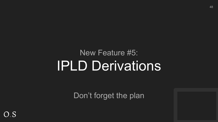#### New Feature #5: IPLD Derivations

Don't forget the plan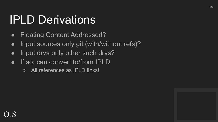#### IPLD Derivations

- Floating Content Addressed?
- Input sources only git (with/without refs)?
- Input drvs only other such drvs?
- If so: can convert to/from IPLD
	- All references as IPLD links!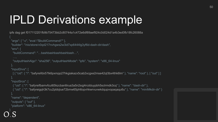#### IPLD Derivations example

{

}

```
O.S
    ipfs dag get f017112201fb9b75473bb2c80744a1c472e6df89aef924c0d024d1a4b3ed0fb18fc26088a
      "args": [ "-c", "eval \"$buildCommand\"" ],
      "builder": "/nix/store/v0qd217nvhgws2w3id7xp6444lg3yf6d-dash-dir/dash",
      "env": {
      "buildCommand": "...bashbashbashbashbash...".
       "outputHashAlgo": "sha256", "outputHashMode": "ipfs", "system": "x86_64-linux"
      "inputDrvs": [
       [ { "cid": { "/": "bafyreifdx57lk6pxmpp27hkgiakazx5cab2xcgxe2mse42ql3bx4thk6lm" }, "name": "root" }, [ "out" ] ]
      "inputSrcs": [
       { "cid": { "/": "bafyreifbamvfcut65kzcbanllirua3a5n2sqj4rcdduypbh5sclrmdk3cq" }, "name": "dash-dir" },
       { "cid": { "/": "bafyreigqh3k7cu2pbbjiue72bmw65ph6opvhkwrvuvwkdqupvopaqaqu6u" }, "name": "miniMkdir-dir" }
      "name": "dependent",
      "outputs": [ "out" ],
      "platform": "x86_64-linux"
```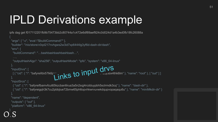#### IPLD Derivations example

```
O.S
   ipfs dag get f017112201fb9b75473bb2c80744a1c472e6df89aef924c0d024d1a4b3ed0fb18fc26088a
    {
      "args": [ "-c", "eval \"$buildCommand\"" ],
     "builder": "/nix/store/v0qd217nvhgws2w3id7xp6444lg3yf6d-dash-dir/dash",
     "env": {
      "buildCommand": "...bashbashbashbashbash...".
       "outputHashAlgo": "sha256", "outputHashMode": "ipfs", "system": "x86_64-linux"
     "inputDrvs": [
     [ { "cid": { "/": "bafyreifdx57lk6pxmpp27hkgiakazx5cab2xcgxe2mse42ql3bx4thk6lm" }, "name": "root" }, [ "out" ] ]
     ],
Links to input drvs "inputSrcs": [
       { "cid": { "/": "bafyreifbamvfcut65kzcbanllirua3a5n2sqj4rcdduypbh5sclrmdk3cq" }, "name": "dash-dir" },
       { "cid": { "/": "bafyreigqh3k7cu2pbbjiue72bmw65ph6opvhkwrvuvwkdqupvopaqaqu6u" }, "name": "miniMkdir-dir" }
      "name": "dependent",
      "outputs": [ "out" ],
      "platform": "x86_64-linux"
    }
```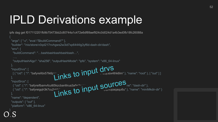#### IPLD Derivations example

```
O.S
    ipfs dag get f017112201fb9b75473bb2c80744a1c472e6df89aef924c0d024d1a4b3ed0fb18fc26088a
    {
       "args": [ "-c", "eval \"$buildCommand\"" ],
      "builder": "/nix/store/v0qd217nvhgws2w3id7xp6444lg3yf6d-dash-dir/dash",
      "env": {
       "buildCommand": "...bashbashbashbashbash...".
        "outputHashAlgo": "sha256", "outputHashMode": "ipfs", "system": "x86_64-linux"
     "inputDrvs": [
     [ { "cid": { "/": "bafyreifdx57lk6pxmpp27hkgiakazx5cab2xcgxe2mse42ql3bx4thk6lm" }, "name": "root" }, [ "out" ] ]
     ],
Links to input drvs
     "inputSrcs": [
    \{ "cid": \{ "/": "bafyreifbamvfcut65kzcbanllirua3a5n^osidedurphing and the COULLOU one": "dash-dir" },
    \{ "cid": \{ "/": "bafyreigqh3k7cu2nhbiidefumedently and \{ of \{ \} \{ \} \{ \{ \} \{ \} \{ \{\} \{ \} \{ \} \{ \{\} \{\} \{\} \{\} \{ \{\} \{\} \{\} 
    "inputSrcs": [<br>
{ "cid": { "/": "bafyreifbamvfcut65kzcbanllirua3a5n?sextypedia<br>
1,<br>
Inks to input source and the section of the section of the set of the set of the set of the set of the set of the set of the set of the se
       "name": "dependent",
       "outputs": [ "out" ],
       "platform": "x86_64-linux"
    }
```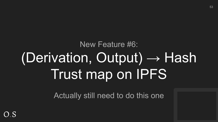## New Feature #6: (Derivation, Output) → Hash Trust map on IPFS

Actually still need to do this one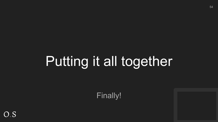# Putting it all together

Finally!

O.S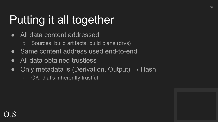### Putting it all together

- All data content addressed
	- Sources, build artifacts, build plans (drvs)
- Same content address used end-to-end
- All data obtained trustless
- Only metadata is (Derivation, Output)  $\rightarrow$  Hash
	- OK, that's inherently trustful